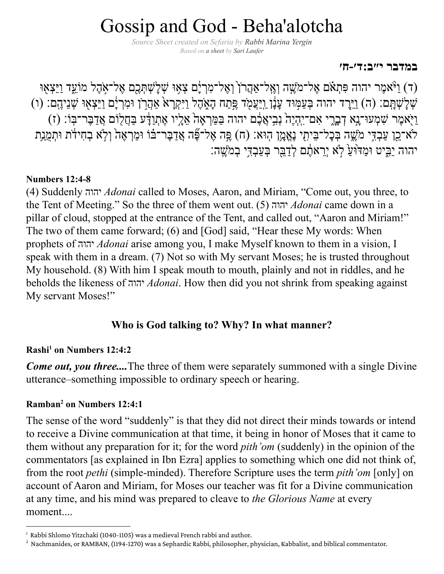# Gossip and God - Beha'alotcha

*Source Sheet created on Sefaria by Rabbi [Marina](https://www.sefaria.org/profile/marina-yergin) Yergin Based on [a sheet](https://www.sefaria.org/sheets/12478) by [Sari Laufer](https://www.sefaria.org/profile/sari-laufer)*

#### **[במדבר י״ב:ד׳-ח׳](https://www.sefaria.org/Numbers.12.4-8)**

ד) ו*ַ וּ*ֹאמֶר יהוה פִּתְאֹם אֶל־מֹעֱה וְאֱל־אַהֲרֹן וָאֱל־מִרְיָם צְאִוּ שְׁלָשְׁתְּכֶם אֶל־אִהֶל מוֹעֵד וַיֵּצְאִו ֿשְׁלָשְׁתָּם: (ה) וַיֵּרֶד יהוה בְּעַמְּוּד עָנָן וַיַּעֲמֹד פֶּתַח הָאֶהֶל וַיִּקְרָא אַהֲרֹן וּמִרְיָם וַיֵּצְאָוּ שְׁנֵיהֶם: (ו) וַיִּאמֶר שְׁמְעוּ־נֵא דְּבָרִי אָם־יְהָיֵה ׁנִבְיָאֲבֶם יהוה בַּמֵּרְאָה אֲלֵיו אֶתְוַדָּע בַּחֲלִוֹם אֲדַבֶּר־בְּוֹ: (ז) לֹא־כֵן עַבְדִּי מֹעֱה בְּכָל־בֵיתִי נֶאֱמֶן הִוּא: (ח) פֶּה אֶל־פֶּֿה אֲדַבָּר־בֹּוֹ וּמַךְאֶה וְלְא בְחִידֹת וּתְמֻנַת יהוה יַבִּיט וּמַדּוּעַ לְא יִרֵאתֵם לְדַבֵּר בִּעֲבְדִּי בִמֹּשֵׁה:

#### **[Numbers](https://www.sefaria.org/Numbers.12.4-8) 12:4-8**

(4) Suddenly יהוה *[Adonai](http://docs.google.com/topics/the-tetragrammaton)* called to Moses, Aaron, and Miriam, "Come out, you three, to the Tent of Meeting." So the three of them went out. (5) [יהוה](http://docs.google.com/topics/the-tetragrammaton) *Adonai* came down in a pillar of cloud, stopped at the entrance of the Tent, and called out, "Aaron and Miriam!" The two of them came forward; (6) and [God] said, "Hear these My words: When prophets of [יהוה](http://docs.google.com/topics/the-tetragrammaton) *Adonai* arise among you, I make Myself known to them in a vision, I speak with them in a dream. (7) Not so with My servant Moses; he is trusted throughout My household. (8) With him I speak mouth to mouth, plainly and not in riddles, and he beholds the likeness of יהוה *[Adonai](http://docs.google.com/topics/the-tetragrammaton)*. How then did you not shrink from speaking against My servant Moses!"

# **Who is God talking to? Why? In what manner?**

#### **Rashi<sup>1</sup> on [Numbers](https://www.sefaria.org/Rashi_on_Numbers.12.4.2) 12:4:2**

*Come out, you three....* The three of them were separately summoned with a single Divine utterance–something impossible to ordinary speech or hearing.

### **Ramban<sup>2</sup> on [Numbers](https://www.sefaria.org/Ramban_on_Numbers.12.4.1)** 12:4:1

The sense of the word "suddenly" is that they did not direct their minds towards or intend to receive a Divine communication at that time, it being in honor of Moses that it came to them without any preparation for it; for the word *pith'om* (suddenly) in the opinion of the commentators [as explained in Ibn Ezra] applies to something which one did not think of, from the root *pethi* (simple-minded). Therefore Scripture uses the term *pith'om* [only] on account of Aaron and Miriam, for Moses our teacher was fit for a Divine communication at any time, and his mind was prepared to cleave to *the Glorious Name* at every moment....

 $1$  Rabbi Shlomo Yitzchaki (1040-1105) was a medieval French rabbi and author.

<sup>&</sup>lt;sup>2</sup> Nachmanides, or RAMBAN, (1194-1270) was a Sephardic Rabbi, philosopher, physician, Kabbalist, and biblical commentator.